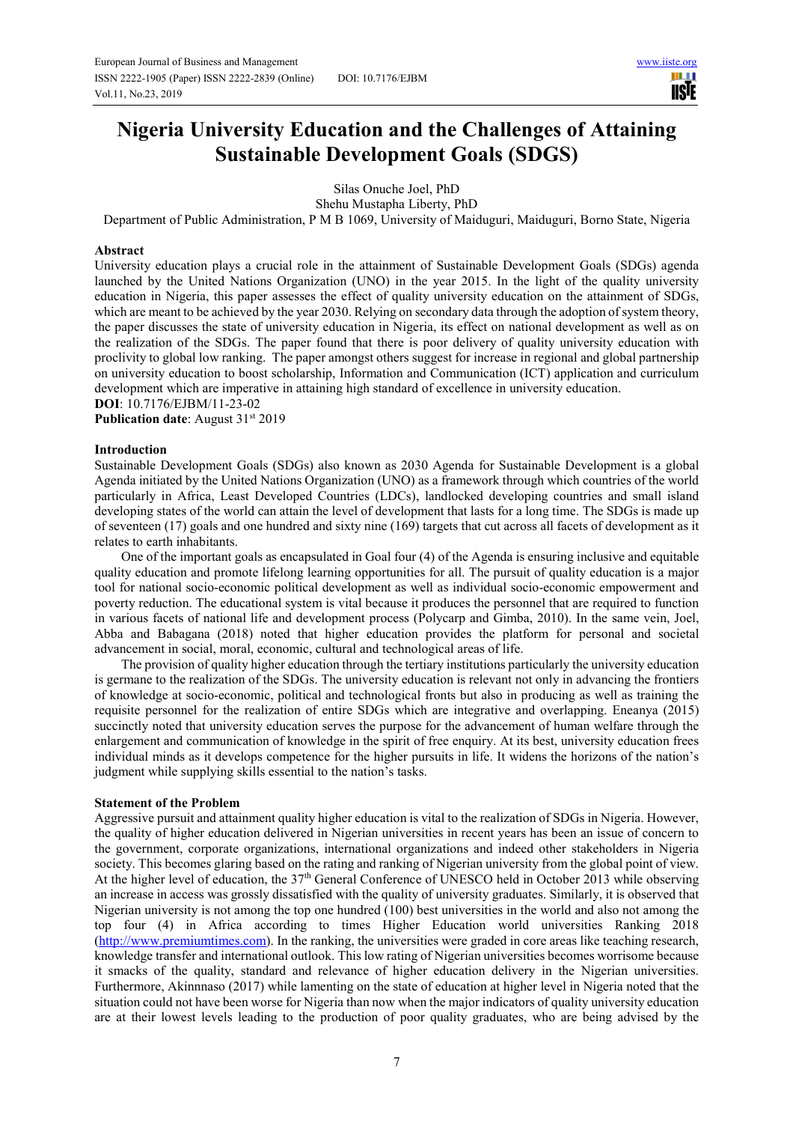III I **IISTE** 

# **Nigeria University Education and the Challenges of Attaining Sustainable Development Goals (SDGS)**

Silas Onuche Joel, PhD

Shehu Mustapha Liberty, PhD

Department of Public Administration, P M B 1069, University of Maiduguri, Maiduguri, Borno State, Nigeria

## **Abstract**

University education plays a crucial role in the attainment of Sustainable Development Goals (SDGs) agenda launched by the United Nations Organization (UNO) in the year 2015. In the light of the quality university education in Nigeria, this paper assesses the effect of quality university education on the attainment of SDGs, which are meant to be achieved by the year 2030. Relying on secondary data through the adoption of system theory, the paper discusses the state of university education in Nigeria, its effect on national development as well as on the realization of the SDGs. The paper found that there is poor delivery of quality university education with proclivity to global low ranking. The paper amongst others suggest for increase in regional and global partnership on university education to boost scholarship, Information and Communication (ICT) application and curriculum development which are imperative in attaining high standard of excellence in university education.

**DOI**: 10.7176/EJBM/11-23-02

**Publication date:** August 31<sup>st</sup> 2019

#### **Introduction**

Sustainable Development Goals (SDGs) also known as 2030 Agenda for Sustainable Development is a global Agenda initiated by the United Nations Organization (UNO) as a framework through which countries of the world particularly in Africa, Least Developed Countries (LDCs), landlocked developing countries and small island developing states of the world can attain the level of development that lasts for a long time. The SDGs is made up of seventeen (17) goals and one hundred and sixty nine (169) targets that cut across all facets of development as it relates to earth inhabitants.

One of the important goals as encapsulated in Goal four (4) of the Agenda is ensuring inclusive and equitable quality education and promote lifelong learning opportunities for all. The pursuit of quality education is a major tool for national socio-economic political development as well as individual socio-economic empowerment and poverty reduction. The educational system is vital because it produces the personnel that are required to function in various facets of national life and development process (Polycarp and Gimba, 2010). In the same vein, Joel, Abba and Babagana (2018) noted that higher education provides the platform for personal and societal advancement in social, moral, economic, cultural and technological areas of life.

The provision of quality higher education through the tertiary institutions particularly the university education is germane to the realization of the SDGs. The university education is relevant not only in advancing the frontiers of knowledge at socio-economic, political and technological fronts but also in producing as well as training the requisite personnel for the realization of entire SDGs which are integrative and overlapping. Eneanya (2015) succinctly noted that university education serves the purpose for the advancement of human welfare through the enlargement and communication of knowledge in the spirit of free enquiry. At its best, university education frees individual minds as it develops competence for the higher pursuits in life. It widens the horizons of the nation's judgment while supplying skills essential to the nation's tasks.

#### **Statement of the Problem**

Aggressive pursuit and attainment quality higher education is vital to the realization of SDGs in Nigeria. However, the quality of higher education delivered in Nigerian universities in recent years has been an issue of concern to the government, corporate organizations, international organizations and indeed other stakeholders in Nigeria society. This becomes glaring based on the rating and ranking of Nigerian university from the global point of view. At the higher level of education, the 37<sup>th</sup> General Conference of UNESCO held in October 2013 while observing an increase in access was grossly dissatisfied with the quality of university graduates. Similarly, it is observed that Nigerian university is not among the top one hundred (100) best universities in the world and also not among the top four (4) in Africa according to times Higher Education world universities Ranking 2018 (http://www.premiumtimes.com). In the ranking, the universities were graded in core areas like teaching research, knowledge transfer and international outlook. This low rating of Nigerian universities becomes worrisome because it smacks of the quality, standard and relevance of higher education delivery in the Nigerian universities. Furthermore, Akinnnaso (2017) while lamenting on the state of education at higher level in Nigeria noted that the situation could not have been worse for Nigeria than now when the major indicators of quality university education are at their lowest levels leading to the production of poor quality graduates, who are being advised by the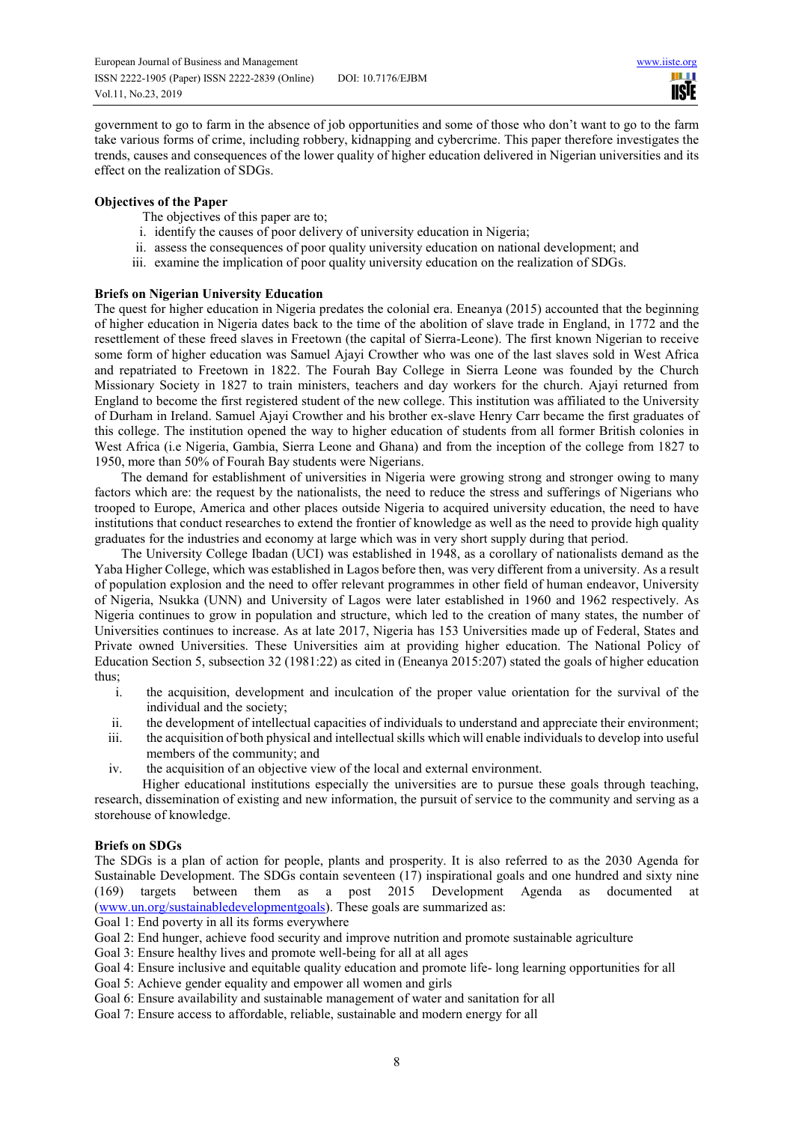ш **IISIE** 

government to go to farm in the absence of job opportunities and some of those who don't want to go to the farm take various forms of crime, including robbery, kidnapping and cybercrime. This paper therefore investigates the trends, causes and consequences of the lower quality of higher education delivered in Nigerian universities and its effect on the realization of SDGs.

# **Objectives of the Paper**

The objectives of this paper are to;

- i. identify the causes of poor delivery of university education in Nigeria;
- ii. assess the consequences of poor quality university education on national development; and
- iii. examine the implication of poor quality university education on the realization of SDGs.

# **Briefs on Nigerian University Education**

The quest for higher education in Nigeria predates the colonial era. Eneanya (2015) accounted that the beginning of higher education in Nigeria dates back to the time of the abolition of slave trade in England, in 1772 and the resettlement of these freed slaves in Freetown (the capital of Sierra-Leone). The first known Nigerian to receive some form of higher education was Samuel Ajayi Crowther who was one of the last slaves sold in West Africa and repatriated to Freetown in 1822. The Fourah Bay College in Sierra Leone was founded by the Church Missionary Society in 1827 to train ministers, teachers and day workers for the church. Ajayi returned from England to become the first registered student of the new college. This institution was affiliated to the University of Durham in Ireland. Samuel Ajayi Crowther and his brother ex-slave Henry Carr became the first graduates of this college. The institution opened the way to higher education of students from all former British colonies in West Africa (i.e Nigeria, Gambia, Sierra Leone and Ghana) and from the inception of the college from 1827 to 1950, more than 50% of Fourah Bay students were Nigerians.

The demand for establishment of universities in Nigeria were growing strong and stronger owing to many factors which are: the request by the nationalists, the need to reduce the stress and sufferings of Nigerians who trooped to Europe, America and other places outside Nigeria to acquired university education, the need to have institutions that conduct researches to extend the frontier of knowledge as well as the need to provide high quality graduates for the industries and economy at large which was in very short supply during that period.

The University College Ibadan (UCI) was established in 1948, as a corollary of nationalists demand as the Yaba Higher College, which was established in Lagos before then, was very different from a university. As a result of population explosion and the need to offer relevant programmes in other field of human endeavor, University of Nigeria, Nsukka (UNN) and University of Lagos were later established in 1960 and 1962 respectively. As Nigeria continues to grow in population and structure, which led to the creation of many states, the number of Universities continues to increase. As at late 2017, Nigeria has 153 Universities made up of Federal, States and Private owned Universities. These Universities aim at providing higher education. The National Policy of Education Section 5, subsection 32 (1981:22) as cited in (Eneanya 2015:207) stated the goals of higher education thus;

- i. the acquisition, development and inculcation of the proper value orientation for the survival of the individual and the society;
- ii. the development of intellectual capacities of individuals to understand and appreciate their environment;
- iii. the acquisition of both physical and intellectual skills which will enable individuals to develop into useful members of the community; and
- iv. the acquisition of an objective view of the local and external environment.

Higher educational institutions especially the universities are to pursue these goals through teaching, research, dissemination of existing and new information, the pursuit of service to the community and serving as a storehouse of knowledge.

# **Briefs on SDGs**

The SDGs is a plan of action for people, plants and prosperity. It is also referred to as the 2030 Agenda for Sustainable Development. The SDGs contain seventeen (17) inspirational goals and one hundred and sixty nine (169) targets between them as a post 2015 Development Agenda as documented at (www.un.org/sustainabledevelopmentgoals). These goals are summarized as:

Goal 1: End poverty in all its forms everywhere

Goal 2: End hunger, achieve food security and improve nutrition and promote sustainable agriculture

Goal 3: Ensure healthy lives and promote well-being for all at all ages

Goal 4: Ensure inclusive and equitable quality education and promote life- long learning opportunities for all

Goal 5: Achieve gender equality and empower all women and girls

Goal 6: Ensure availability and sustainable management of water and sanitation for all

Goal 7: Ensure access to affordable, reliable, sustainable and modern energy for all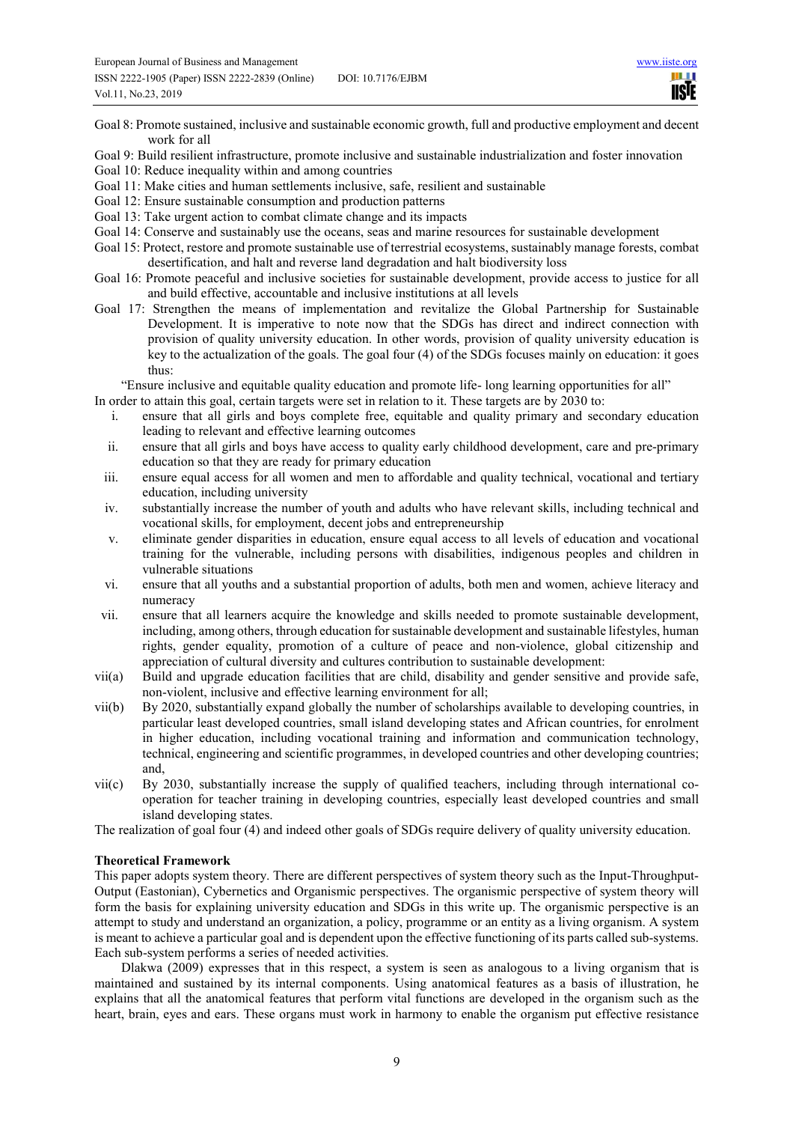ш **TISTE** 

- Goal 8: Promote sustained, inclusive and sustainable economic growth, full and productive employment and decent work for all
- Goal 9: Build resilient infrastructure, promote inclusive and sustainable industrialization and foster innovation
- Goal 10: Reduce inequality within and among countries
- Goal 11: Make cities and human settlements inclusive, safe, resilient and sustainable
- Goal 12: Ensure sustainable consumption and production patterns
- Goal 13: Take urgent action to combat climate change and its impacts
- Goal 14: Conserve and sustainably use the oceans, seas and marine resources for sustainable development
- Goal 15: Protect, restore and promote sustainable use of terrestrial ecosystems, sustainably manage forests, combat desertification, and halt and reverse land degradation and halt biodiversity loss
- Goal 16: Promote peaceful and inclusive societies for sustainable development, provide access to justice for all and build effective, accountable and inclusive institutions at all levels
- Goal 17: Strengthen the means of implementation and revitalize the Global Partnership for Sustainable Development. It is imperative to note now that the SDGs has direct and indirect connection with provision of quality university education. In other words, provision of quality university education is key to the actualization of the goals. The goal four (4) of the SDGs focuses mainly on education: it goes thus:

"Ensure inclusive and equitable quality education and promote life- long learning opportunities for all"

In order to attain this goal, certain targets were set in relation to it. These targets are by 2030 to:

- i. ensure that all girls and boys complete free, equitable and quality primary and secondary education leading to relevant and effective learning outcomes
- ii. ensure that all girls and boys have access to quality early childhood development, care and pre-primary education so that they are ready for primary education
- iii. ensure equal access for all women and men to affordable and quality technical, vocational and tertiary education, including university
- iv. substantially increase the number of youth and adults who have relevant skills, including technical and vocational skills, for employment, decent jobs and entrepreneurship
- v. eliminate gender disparities in education, ensure equal access to all levels of education and vocational training for the vulnerable, including persons with disabilities, indigenous peoples and children in vulnerable situations
- vi. ensure that all youths and a substantial proportion of adults, both men and women, achieve literacy and numeracy
- vii. ensure that all learners acquire the knowledge and skills needed to promote sustainable development, including, among others, through education for sustainable development and sustainable lifestyles, human rights, gender equality, promotion of a culture of peace and non-violence, global citizenship and appreciation of cultural diversity and cultures contribution to sustainable development:
- vii(a) Build and upgrade education facilities that are child, disability and gender sensitive and provide safe, non-violent, inclusive and effective learning environment for all;
- vii(b) By 2020, substantially expand globally the number of scholarships available to developing countries, in particular least developed countries, small island developing states and African countries, for enrolment in higher education, including vocational training and information and communication technology, technical, engineering and scientific programmes, in developed countries and other developing countries; and,
- vii(c) By 2030, substantially increase the supply of qualified teachers, including through international cooperation for teacher training in developing countries, especially least developed countries and small island developing states.

The realization of goal four (4) and indeed other goals of SDGs require delivery of quality university education.

#### **Theoretical Framework**

This paper adopts system theory. There are different perspectives of system theory such as the Input-Throughput-Output (Eastonian), Cybernetics and Organismic perspectives. The organismic perspective of system theory will form the basis for explaining university education and SDGs in this write up. The organismic perspective is an attempt to study and understand an organization, a policy, programme or an entity as a living organism. A system is meant to achieve a particular goal and is dependent upon the effective functioning of its parts called sub-systems. Each sub-system performs a series of needed activities.

Dlakwa (2009) expresses that in this respect, a system is seen as analogous to a living organism that is maintained and sustained by its internal components. Using anatomical features as a basis of illustration, he explains that all the anatomical features that perform vital functions are developed in the organism such as the heart, brain, eyes and ears. These organs must work in harmony to enable the organism put effective resistance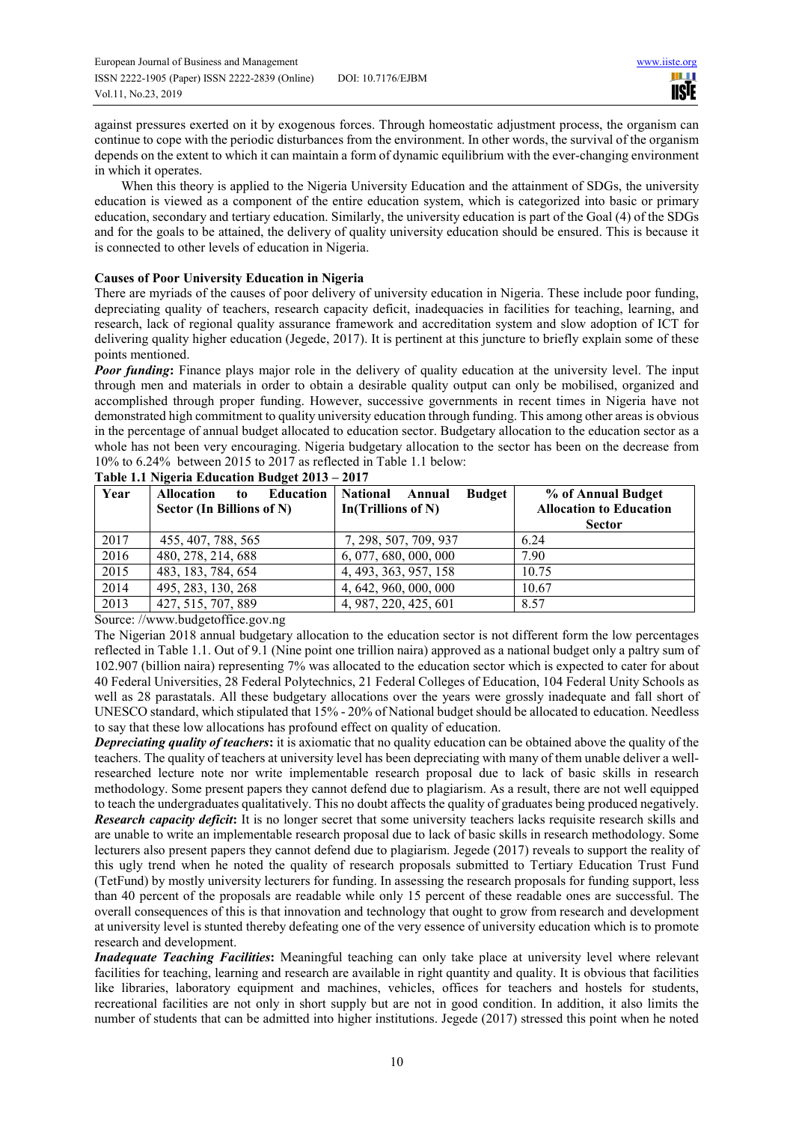against pressures exerted on it by exogenous forces. Through homeostatic adjustment process, the organism can continue to cope with the periodic disturbances from the environment. In other words, the survival of the organism depends on the extent to which it can maintain a form of dynamic equilibrium with the ever-changing environment in which it operates.

When this theory is applied to the Nigeria University Education and the attainment of SDGs, the university education is viewed as a component of the entire education system, which is categorized into basic or primary education, secondary and tertiary education. Similarly, the university education is part of the Goal (4) of the SDGs and for the goals to be attained, the delivery of quality university education should be ensured. This is because it is connected to other levels of education in Nigeria.

## **Causes of Poor University Education in Nigeria**

There are myriads of the causes of poor delivery of university education in Nigeria. These include poor funding, depreciating quality of teachers, research capacity deficit, inadequacies in facilities for teaching, learning, and research, lack of regional quality assurance framework and accreditation system and slow adoption of ICT for delivering quality higher education (Jegede, 2017). It is pertinent at this juncture to briefly explain some of these points mentioned.

*Poor funding*: Finance plays major role in the delivery of quality education at the university level. The input through men and materials in order to obtain a desirable quality output can only be mobilised, organized and accomplished through proper funding. However, successive governments in recent times in Nigeria have not demonstrated high commitment to quality university education through funding. This among other areas is obvious in the percentage of annual budget allocated to education sector. Budgetary allocation to the education sector as a whole has not been very encouraging. Nigeria budgetary allocation to the sector has been on the decrease from 10% to 6.24% between 2015 to 2017 as reflected in Table 1.1 below:

| Year | <b>Education</b><br><b>Allocation</b><br>to<br>Sector (In Billions of N) | <b>National</b><br><b>Budget</b><br>Annual<br>In(Trillions of N) | % of Annual Budget<br><b>Allocation to Education</b><br><b>Sector</b> |
|------|--------------------------------------------------------------------------|------------------------------------------------------------------|-----------------------------------------------------------------------|
| 2017 | 455, 407, 788, 565                                                       | 7, 298, 507, 709, 937                                            | 6.24                                                                  |
| 2016 | 480, 278, 214, 688                                                       | 6,077,680,000,000                                                | 7.90                                                                  |
| 2015 | 483, 183, 784, 654                                                       | 4, 493, 363, 957, 158                                            | 10.75                                                                 |
| 2014 | 495, 283, 130, 268                                                       | 4, 642, 960, 000, 000                                            | 10.67                                                                 |
| 2013 | 427, 515, 707, 889                                                       | 4, 987, 220, 425, 601                                            | 8.57                                                                  |

## **Table 1.1 Nigeria Education Budget 2013 – 2017**

Source: //www.budgetoffice.gov.ng

The Nigerian 2018 annual budgetary allocation to the education sector is not different form the low percentages reflected in Table 1.1. Out of 9.1 (Nine point one trillion naira) approved as a national budget only a paltry sum of 102.907 (billion naira) representing 7% was allocated to the education sector which is expected to cater for about 40 Federal Universities, 28 Federal Polytechnics, 21 Federal Colleges of Education, 104 Federal Unity Schools as well as 28 parastatals. All these budgetary allocations over the years were grossly inadequate and fall short of UNESCO standard, which stipulated that 15% - 20% of National budget should be allocated to education. Needless to say that these low allocations has profound effect on quality of education.

*Depreciating quality of teachers***:** it is axiomatic that no quality education can be obtained above the quality of the teachers. The quality of teachers at university level has been depreciating with many of them unable deliver a wellresearched lecture note nor write implementable research proposal due to lack of basic skills in research methodology. Some present papers they cannot defend due to plagiarism. As a result, there are not well equipped to teach the undergraduates qualitatively. This no doubt affects the quality of graduates being produced negatively. *Research capacity deficit***:** It is no longer secret that some university teachers lacks requisite research skills and are unable to write an implementable research proposal due to lack of basic skills in research methodology. Some lecturers also present papers they cannot defend due to plagiarism. Jegede (2017) reveals to support the reality of this ugly trend when he noted the quality of research proposals submitted to Tertiary Education Trust Fund (TetFund) by mostly university lecturers for funding. In assessing the research proposals for funding support, less than 40 percent of the proposals are readable while only 15 percent of these readable ones are successful. The overall consequences of this is that innovation and technology that ought to grow from research and development at university level is stunted thereby defeating one of the very essence of university education which is to promote research and development.

*Inadequate Teaching Facilities***:** Meaningful teaching can only take place at university level where relevant facilities for teaching, learning and research are available in right quantity and quality. It is obvious that facilities like libraries, laboratory equipment and machines, vehicles, offices for teachers and hostels for students, recreational facilities are not only in short supply but are not in good condition. In addition, it also limits the number of students that can be admitted into higher institutions. Jegede (2017) stressed this point when he noted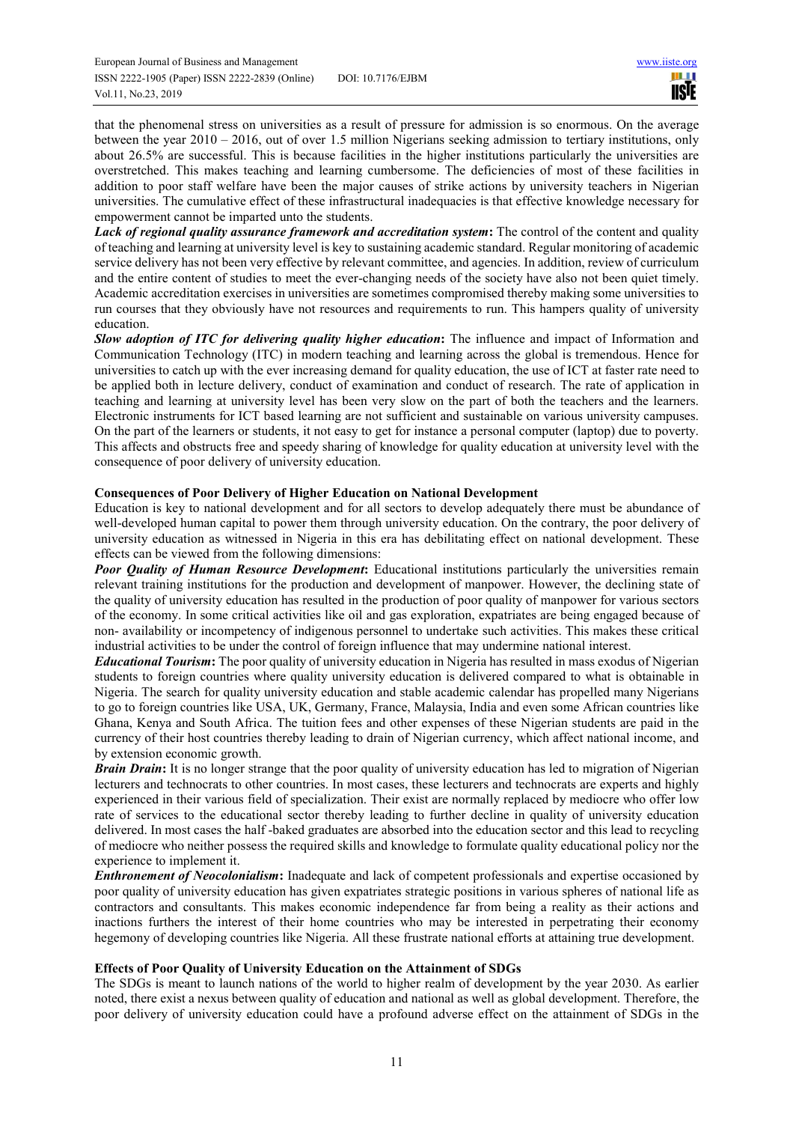that the phenomenal stress on universities as a result of pressure for admission is so enormous. On the average between the year 2010 – 2016, out of over 1.5 million Nigerians seeking admission to tertiary institutions, only about 26.5% are successful. This is because facilities in the higher institutions particularly the universities are overstretched. This makes teaching and learning cumbersome. The deficiencies of most of these facilities in addition to poor staff welfare have been the major causes of strike actions by university teachers in Nigerian universities. The cumulative effect of these infrastructural inadequacies is that effective knowledge necessary for empowerment cannot be imparted unto the students.

*Lack of regional quality assurance framework and accreditation system*: The control of the content and quality of teaching and learning at university level is key to sustaining academic standard. Regular monitoring of academic service delivery has not been very effective by relevant committee, and agencies. In addition, review of curriculum and the entire content of studies to meet the ever-changing needs of the society have also not been quiet timely. Academic accreditation exercises in universities are sometimes compromised thereby making some universities to run courses that they obviously have not resources and requirements to run. This hampers quality of university education.

*Slow adoption of ITC for delivering quality higher education***:** The influence and impact of Information and Communication Technology (ITC) in modern teaching and learning across the global is tremendous. Hence for universities to catch up with the ever increasing demand for quality education, the use of ICT at faster rate need to be applied both in lecture delivery, conduct of examination and conduct of research. The rate of application in teaching and learning at university level has been very slow on the part of both the teachers and the learners. Electronic instruments for ICT based learning are not sufficient and sustainable on various university campuses. On the part of the learners or students, it not easy to get for instance a personal computer (laptop) due to poverty. This affects and obstructs free and speedy sharing of knowledge for quality education at university level with the consequence of poor delivery of university education.

# **Consequences of Poor Delivery of Higher Education on National Development**

Education is key to national development and for all sectors to develop adequately there must be abundance of well-developed human capital to power them through university education. On the contrary, the poor delivery of university education as witnessed in Nigeria in this era has debilitating effect on national development. These effects can be viewed from the following dimensions:

*Poor Quality of Human Resource Development***:** Educational institutions particularly the universities remain relevant training institutions for the production and development of manpower. However, the declining state of the quality of university education has resulted in the production of poor quality of manpower for various sectors of the economy. In some critical activities like oil and gas exploration, expatriates are being engaged because of non- availability or incompetency of indigenous personnel to undertake such activities. This makes these critical industrial activities to be under the control of foreign influence that may undermine national interest.

*Educational Tourism***:** The poor quality of university education in Nigeria has resulted in mass exodus of Nigerian students to foreign countries where quality university education is delivered compared to what is obtainable in Nigeria. The search for quality university education and stable academic calendar has propelled many Nigerians to go to foreign countries like USA, UK, Germany, France, Malaysia, India and even some African countries like Ghana, Kenya and South Africa. The tuition fees and other expenses of these Nigerian students are paid in the currency of their host countries thereby leading to drain of Nigerian currency, which affect national income, and by extension economic growth.

*Brain Drain*: It is no longer strange that the poor quality of university education has led to migration of Nigerian lecturers and technocrats to other countries. In most cases, these lecturers and technocrats are experts and highly experienced in their various field of specialization. Their exist are normally replaced by mediocre who offer low rate of services to the educational sector thereby leading to further decline in quality of university education delivered. In most cases the half -baked graduates are absorbed into the education sector and this lead to recycling of mediocre who neither possess the required skills and knowledge to formulate quality educational policy nor the experience to implement it.

*Enthronement of Neocolonialism***:** Inadequate and lack of competent professionals and expertise occasioned by poor quality of university education has given expatriates strategic positions in various spheres of national life as contractors and consultants. This makes economic independence far from being a reality as their actions and inactions furthers the interest of their home countries who may be interested in perpetrating their economy hegemony of developing countries like Nigeria. All these frustrate national efforts at attaining true development.

# **Effects of Poor Quality of University Education on the Attainment of SDGs**

The SDGs is meant to launch nations of the world to higher realm of development by the year 2030. As earlier noted, there exist a nexus between quality of education and national as well as global development. Therefore, the poor delivery of university education could have a profound adverse effect on the attainment of SDGs in the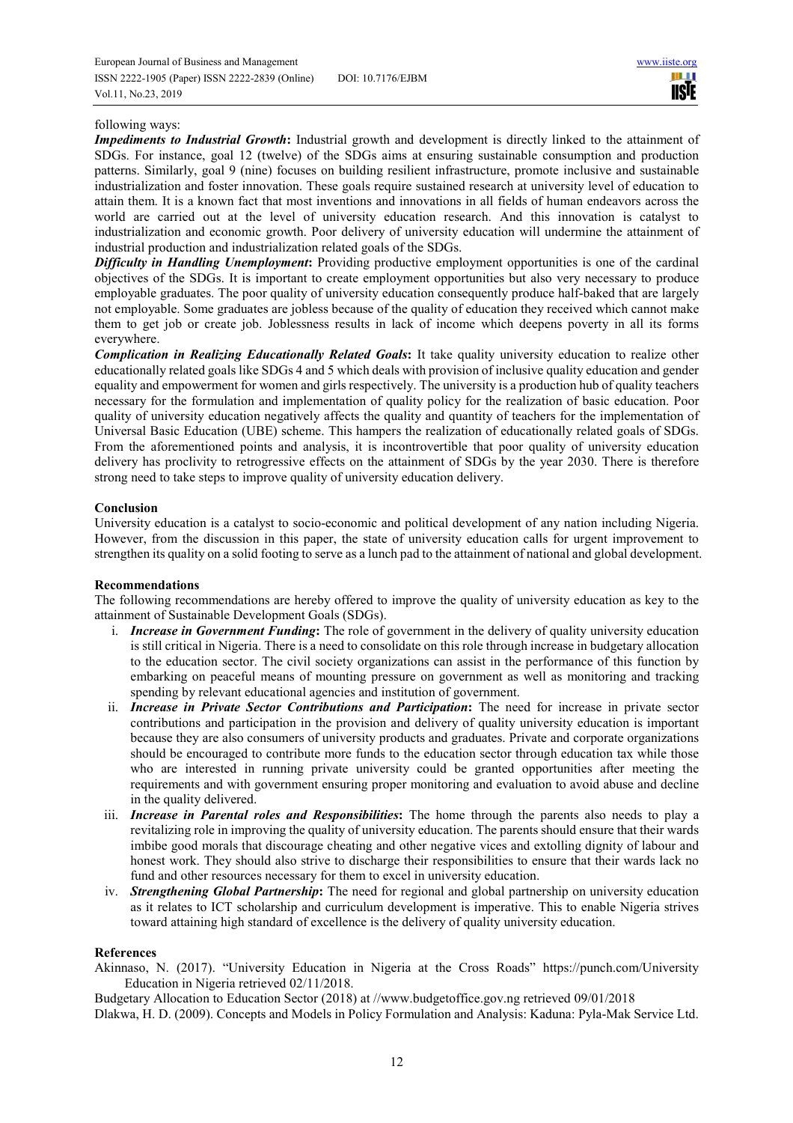ш **IISIE** 

### following ways:

*Impediments to Industrial Growth***:** Industrial growth and development is directly linked to the attainment of SDGs. For instance, goal 12 (twelve) of the SDGs aims at ensuring sustainable consumption and production patterns. Similarly, goal 9 (nine) focuses on building resilient infrastructure, promote inclusive and sustainable industrialization and foster innovation. These goals require sustained research at university level of education to attain them. It is a known fact that most inventions and innovations in all fields of human endeavors across the world are carried out at the level of university education research. And this innovation is catalyst to industrialization and economic growth. Poor delivery of university education will undermine the attainment of industrial production and industrialization related goals of the SDGs.

*Difficulty in Handling Unemployment***:** Providing productive employment opportunities is one of the cardinal objectives of the SDGs. It is important to create employment opportunities but also very necessary to produce employable graduates. The poor quality of university education consequently produce half-baked that are largely not employable. Some graduates are jobless because of the quality of education they received which cannot make them to get job or create job. Joblessness results in lack of income which deepens poverty in all its forms everywhere.

*Complication in Realizing Educationally Related Goals***:** It take quality university education to realize other educationally related goals like SDGs 4 and 5 which deals with provision of inclusive quality education and gender equality and empowerment for women and girls respectively. The university is a production hub of quality teachers necessary for the formulation and implementation of quality policy for the realization of basic education. Poor quality of university education negatively affects the quality and quantity of teachers for the implementation of Universal Basic Education (UBE) scheme. This hampers the realization of educationally related goals of SDGs. From the aforementioned points and analysis, it is incontrovertible that poor quality of university education delivery has proclivity to retrogressive effects on the attainment of SDGs by the year 2030. There is therefore strong need to take steps to improve quality of university education delivery.

## **Conclusion**

University education is a catalyst to socio-economic and political development of any nation including Nigeria. However, from the discussion in this paper, the state of university education calls for urgent improvement to strengthen its quality on a solid footing to serve as a lunch pad to the attainment of national and global development.

#### **Recommendations**

The following recommendations are hereby offered to improve the quality of university education as key to the attainment of Sustainable Development Goals (SDGs).

- i. *Increase in Government Funding***:** The role of government in the delivery of quality university education is still critical in Nigeria. There is a need to consolidate on this role through increase in budgetary allocation to the education sector. The civil society organizations can assist in the performance of this function by embarking on peaceful means of mounting pressure on government as well as monitoring and tracking spending by relevant educational agencies and institution of government.
- ii. *Increase in Private Sector Contributions and Participation***:** The need for increase in private sector contributions and participation in the provision and delivery of quality university education is important because they are also consumers of university products and graduates. Private and corporate organizations should be encouraged to contribute more funds to the education sector through education tax while those who are interested in running private university could be granted opportunities after meeting the requirements and with government ensuring proper monitoring and evaluation to avoid abuse and decline in the quality delivered.
- iii. *Increase in Parental roles and Responsibilities***:** The home through the parents also needs to play a revitalizing role in improving the quality of university education. The parents should ensure that their wards imbibe good morals that discourage cheating and other negative vices and extolling dignity of labour and honest work. They should also strive to discharge their responsibilities to ensure that their wards lack no fund and other resources necessary for them to excel in university education.
- iv. *Strengthening Global Partnership***:** The need for regional and global partnership on university education as it relates to ICT scholarship and curriculum development is imperative. This to enable Nigeria strives toward attaining high standard of excellence is the delivery of quality university education.

# **References**

Akinnaso, N. (2017). "University Education in Nigeria at the Cross Roads" https://punch.com/University Education in Nigeria retrieved 02/11/2018.

Budgetary Allocation to Education Sector (2018) at //www.budgetoffice.gov.ng retrieved 09/01/2018 Dlakwa, H. D. (2009). Concepts and Models in Policy Formulation and Analysis: Kaduna: Pyla-Mak Service Ltd.